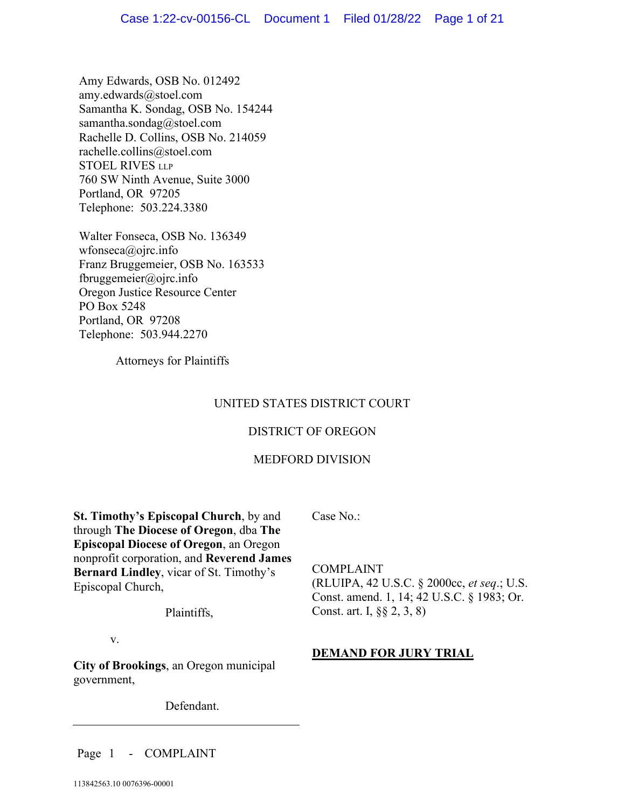Amy Edwards, OSB No. 012492 amy.edwards@stoel.com Samantha K. Sondag, OSB No. 154244 samantha.sondag@stoel.com Rachelle D. Collins, OSB No. 214059 rachelle.collins@stoel.com STOEL RIVES LLP 760 SW Ninth Avenue, Suite 3000 Portland, OR 97205 Telephone: 503.224.3380

Walter Fonseca, OSB No. 136349 wfonseca@ojrc.info Franz Bruggemeier, OSB No. 163533 fbruggemeier@ojrc.info Oregon Justice Resource Center PO Box 5248 Portland, OR 97208 Telephone: 503.944.2270

Attorneys for Plaintiffs

# UNITED STATES DISTRICT COURT

# DISTRICT OF OREGON

# MEDFORD DIVISION

**St. Timothy's Episcopal Church**, by and through **The Diocese of Oregon**, dba **The Episcopal Diocese of Oregon**, an Oregon nonprofit corporation, and **Reverend James Bernard Lindley**, vicar of St. Timothy's Episcopal Church,

Plaintiffs,

v.

**City of Brookings**, an Oregon municipal government,

Defendant.

Case No.:

COMPLAINT (RLUIPA, 42 U.S.C. § 2000cc, *et seq*.; U.S. Const. amend. 1, 14; 42 U.S.C. § 1983; Or. Const. art. I, §§ 2, 3, 8)

# **DEMAND FOR JURY TRIAL**

Page 1 - COMPLAINT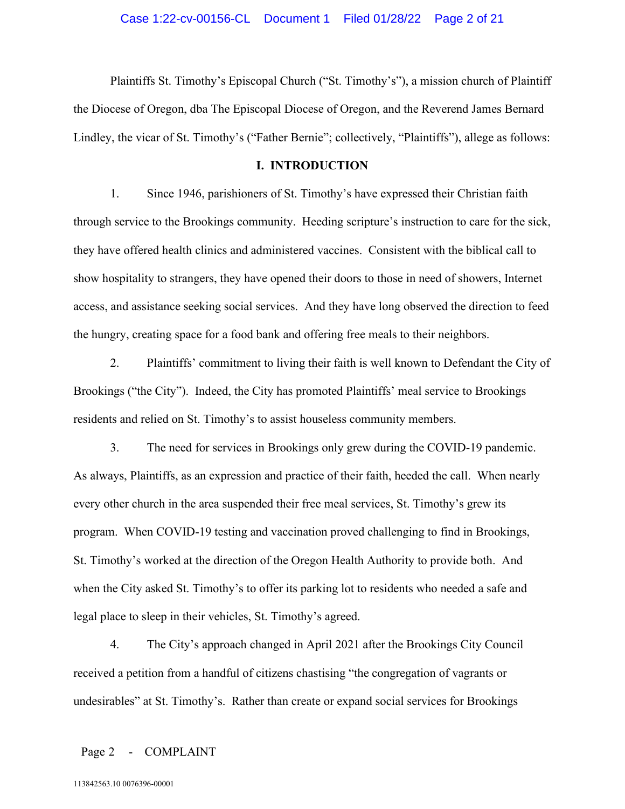Plaintiffs St. Timothy's Episcopal Church ("St. Timothy's"), a mission church of Plaintiff the Diocese of Oregon, dba The Episcopal Diocese of Oregon, and the Reverend James Bernard Lindley, the vicar of St. Timothy's ("Father Bernie"; collectively, "Plaintiffs"), allege as follows:

### **I. INTRODUCTION**

1. Since 1946, parishioners of St. Timothy's have expressed their Christian faith through service to the Brookings community. Heeding scripture's instruction to care for the sick, they have offered health clinics and administered vaccines. Consistent with the biblical call to show hospitality to strangers, they have opened their doors to those in need of showers, Internet access, and assistance seeking social services. And they have long observed the direction to feed the hungry, creating space for a food bank and offering free meals to their neighbors.

2. Plaintiffs' commitment to living their faith is well known to Defendant the City of Brookings ("the City"). Indeed, the City has promoted Plaintiffs' meal service to Brookings residents and relied on St. Timothy's to assist houseless community members.

3. The need for services in Brookings only grew during the COVID-19 pandemic. As always, Plaintiffs, as an expression and practice of their faith, heeded the call. When nearly every other church in the area suspended their free meal services, St. Timothy's grew its program. When COVID-19 testing and vaccination proved challenging to find in Brookings, St. Timothy's worked at the direction of the Oregon Health Authority to provide both. And when the City asked St. Timothy's to offer its parking lot to residents who needed a safe and legal place to sleep in their vehicles, St. Timothy's agreed.

4. The City's approach changed in April 2021 after the Brookings City Council received a petition from a handful of citizens chastising "the congregation of vagrants or undesirables" at St. Timothy's. Rather than create or expand social services for Brookings

### Page 2 - COMPLAINT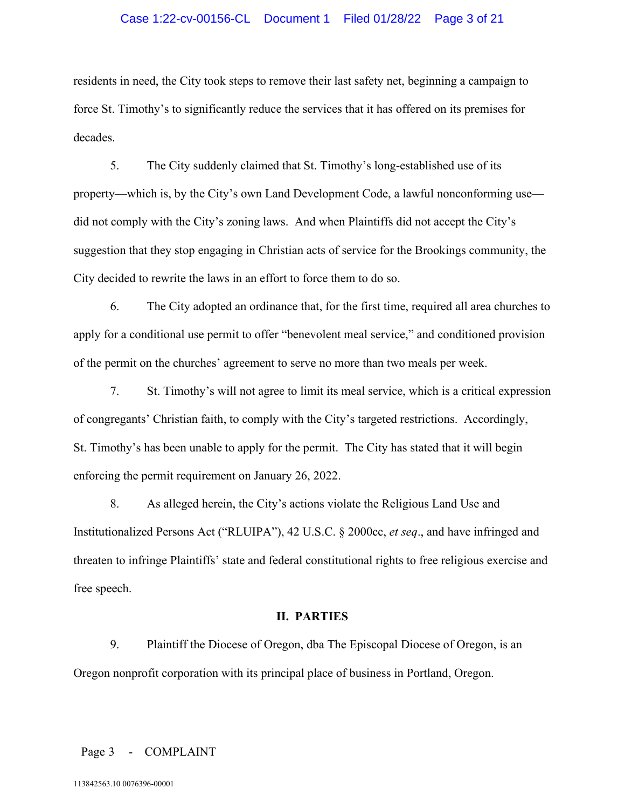### Case 1:22-cv-00156-CL Document 1 Filed 01/28/22 Page 3 of 21

residents in need, the City took steps to remove their last safety net, beginning a campaign to force St. Timothy's to significantly reduce the services that it has offered on its premises for decades.

5. The City suddenly claimed that St. Timothy's long-established use of its property—which is, by the City's own Land Development Code, a lawful nonconforming use did not comply with the City's zoning laws. And when Plaintiffs did not accept the City's suggestion that they stop engaging in Christian acts of service for the Brookings community, the City decided to rewrite the laws in an effort to force them to do so.

6. The City adopted an ordinance that, for the first time, required all area churches to apply for a conditional use permit to offer "benevolent meal service," and conditioned provision of the permit on the churches' agreement to serve no more than two meals per week.

7. St. Timothy's will not agree to limit its meal service, which is a critical expression of congregants' Christian faith, to comply with the City's targeted restrictions. Accordingly, St. Timothy's has been unable to apply for the permit. The City has stated that it will begin enforcing the permit requirement on January 26, 2022.

8. As alleged herein, the City's actions violate the Religious Land Use and Institutionalized Persons Act ("RLUIPA"), 42 U.S.C. § 2000cc, *et seq*., and have infringed and threaten to infringe Plaintiffs' state and federal constitutional rights to free religious exercise and free speech.

#### **II. PARTIES**

9. Plaintiff the Diocese of Oregon, dba The Episcopal Diocese of Oregon, is an Oregon nonprofit corporation with its principal place of business in Portland, Oregon.

#### Page 3 - COMPLAINT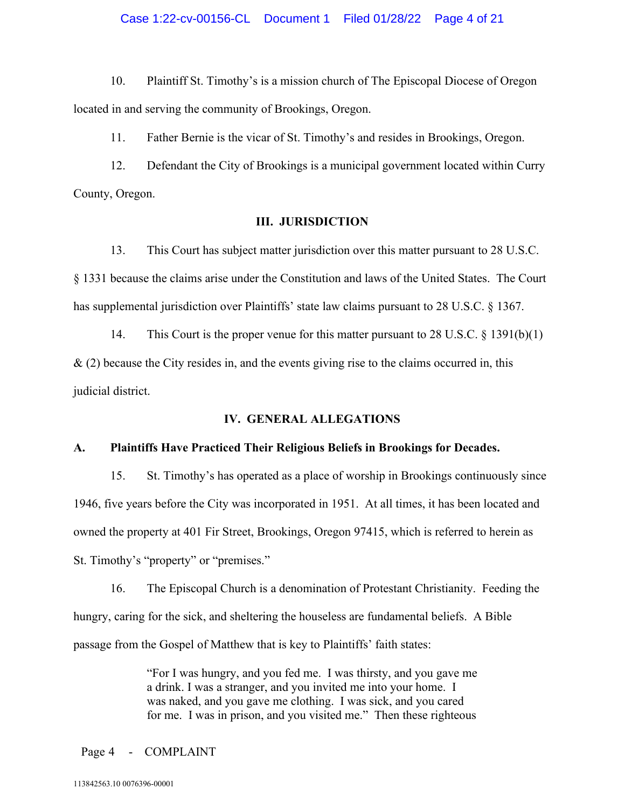# Case 1:22-cv-00156-CL Document 1 Filed 01/28/22 Page 4 of 21

10. Plaintiff St. Timothy's is a mission church of The Episcopal Diocese of Oregon located in and serving the community of Brookings, Oregon.

11. Father Bernie is the vicar of St. Timothy's and resides in Brookings, Oregon.

12. Defendant the City of Brookings is a municipal government located within Curry County, Oregon.

### **III. JURISDICTION**

13. This Court has subject matter jurisdiction over this matter pursuant to 28 U.S.C. § 1331 because the claims arise under the Constitution and laws of the United States. The Court has supplemental jurisdiction over Plaintiffs' state law claims pursuant to 28 U.S.C. § 1367.

14. This Court is the proper venue for this matter pursuant to 28 U.S.C. § 1391(b)(1)  $\&$  (2) because the City resides in, and the events giving rise to the claims occurred in, this judicial district.

### **IV. GENERAL ALLEGATIONS**

### **A. Plaintiffs Have Practiced Their Religious Beliefs in Brookings for Decades.**

15. St. Timothy's has operated as a place of worship in Brookings continuously since 1946, five years before the City was incorporated in 1951. At all times, it has been located and owned the property at 401 Fir Street, Brookings, Oregon 97415, which is referred to herein as St. Timothy's "property" or "premises."

16. The Episcopal Church is a denomination of Protestant Christianity. Feeding the hungry, caring for the sick, and sheltering the houseless are fundamental beliefs. A Bible passage from the Gospel of Matthew that is key to Plaintiffs' faith states:

> "For I was hungry, and you fed me. I was thirsty, and you gave me a drink. I was a stranger, and you invited me into your home. I was naked, and you gave me clothing. I was sick, and you cared for me. I was in prison, and you visited me." Then these righteous

#### Page 4 - COMPLAINT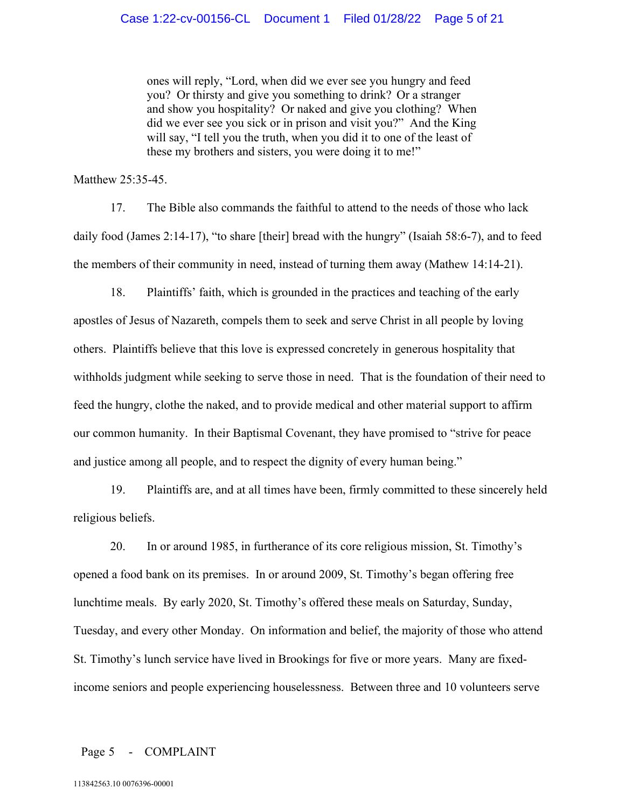ones will reply, "Lord, when did we ever see you hungry and feed you? Or thirsty and give you something to drink? Or a stranger and show you hospitality? Or naked and give you clothing? When did we ever see you sick or in prison and visit you?" And the King will say, "I tell you the truth, when you did it to one of the least of these my brothers and sisters, you were doing it to me!"

Matthew 25:35-45.

17. The Bible also commands the faithful to attend to the needs of those who lack daily food (James 2:14-17), "to share [their] bread with the hungry" (Isaiah 58:6-7), and to feed the members of their community in need, instead of turning them away (Mathew 14:14-21).

18. Plaintiffs' faith, which is grounded in the practices and teaching of the early apostles of Jesus of Nazareth, compels them to seek and serve Christ in all people by loving others. Plaintiffs believe that this love is expressed concretely in generous hospitality that withholds judgment while seeking to serve those in need. That is the foundation of their need to feed the hungry, clothe the naked, and to provide medical and other material support to affirm our common humanity. In their Baptismal Covenant, they have promised to "strive for peace and justice among all people, and to respect the dignity of every human being."

19. Plaintiffs are, and at all times have been, firmly committed to these sincerely held religious beliefs.

20. In or around 1985, in furtherance of its core religious mission, St. Timothy's opened a food bank on its premises. In or around 2009, St. Timothy's began offering free lunchtime meals. By early 2020, St. Timothy's offered these meals on Saturday, Sunday, Tuesday, and every other Monday. On information and belief, the majority of those who attend St. Timothy's lunch service have lived in Brookings for five or more years. Many are fixedincome seniors and people experiencing houselessness. Between three and 10 volunteers serve

#### Page 5 - COMPLAINT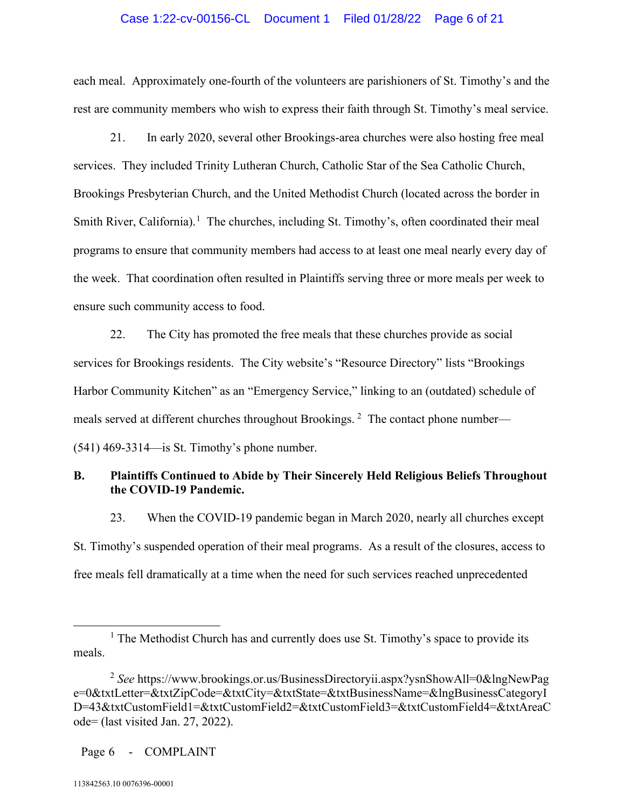### Case 1:22-cv-00156-CL Document 1 Filed 01/28/22 Page 6 of 21

each meal. Approximately one-fourth of the volunteers are parishioners of St. Timothy's and the rest are community members who wish to express their faith through St. Timothy's meal service.

21. In early 2020, several other Brookings-area churches were also hosting free meal services. They included Trinity Lutheran Church, Catholic Star of the Sea Catholic Church, Brookings Presbyterian Church, and the United Methodist Church (located across the border in Smith River, California).<sup>[1](#page-5-0)</sup> The churches, including St. Timothy's, often coordinated their meal programs to ensure that community members had access to at least one meal nearly every day of the week. That coordination often resulted in Plaintiffs serving three or more meals per week to ensure such community access to food.

22. The City has promoted the free meals that these churches provide as social services for Brookings residents. The City website's "Resource Directory" lists "Brookings Harbor Community Kitchen" as an "Emergency Service," linking to an (outdated) schedule of meals served at different churches throughout Brookings.  $^2$  $^2$  The contact phone number— (541) 469-3314—is St. Timothy's phone number.

# **B. Plaintiffs Continued to Abide by Their Sincerely Held Religious Beliefs Throughout the COVID-19 Pandemic.**

23. When the COVID-19 pandemic began in March 2020, nearly all churches except St. Timothy's suspended operation of their meal programs. As a result of the closures, access to free meals fell dramatically at a time when the need for such services reached unprecedented

Page 6 - COMPLAINT

<span id="page-5-0"></span><sup>&</sup>lt;sup>1</sup> The Methodist Church has and currently does use St. Timothy's space to provide its meals.

<span id="page-5-1"></span><sup>2</sup> *See* https://www.brookings.or.us/BusinessDirectoryii.aspx?ysnShowAll=0&lngNewPag e=0&txtLetter=&txtZipCode=&txtCity=&txtState=&txtBusinessName=&lngBusinessCategoryI D=43&txtCustomField1=&txtCustomField2=&txtCustomField3=&txtCustomField4=&txtAreaC ode= (last visited Jan. 27, 2022).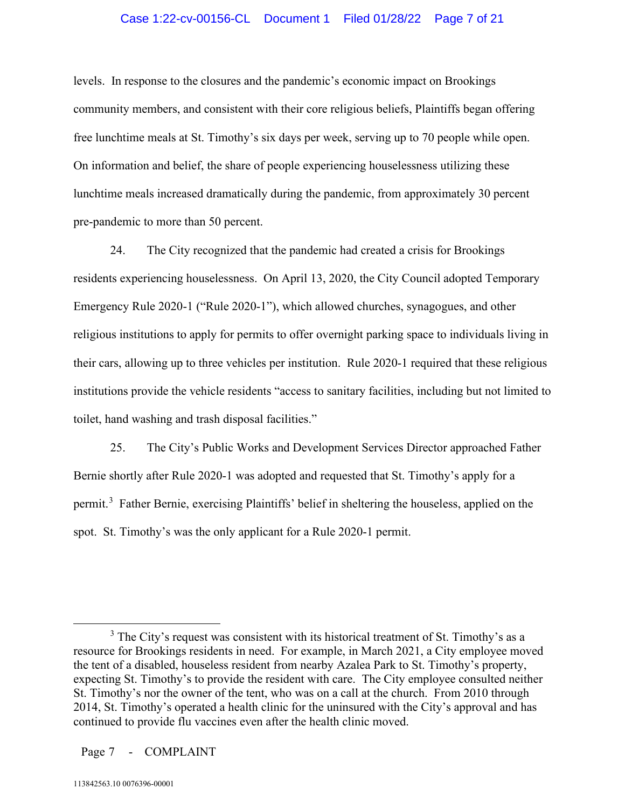### Case 1:22-cv-00156-CL Document 1 Filed 01/28/22 Page 7 of 21

levels. In response to the closures and the pandemic's economic impact on Brookings community members, and consistent with their core religious beliefs, Plaintiffs began offering free lunchtime meals at St. Timothy's six days per week, serving up to 70 people while open. On information and belief, the share of people experiencing houselessness utilizing these lunchtime meals increased dramatically during the pandemic, from approximately 30 percent pre-pandemic to more than 50 percent.

24. The City recognized that the pandemic had created a crisis for Brookings residents experiencing houselessness. On April 13, 2020, the City Council adopted Temporary Emergency Rule 2020-1 ("Rule 2020-1"), which allowed churches, synagogues, and other religious institutions to apply for permits to offer overnight parking space to individuals living in their cars, allowing up to three vehicles per institution. Rule 2020-1 required that these religious institutions provide the vehicle residents "access to sanitary facilities, including but not limited to toilet, hand washing and trash disposal facilities."

25. The City's Public Works and Development Services Director approached Father Bernie shortly after Rule 2020-1 was adopted and requested that St. Timothy's apply for a permit.<sup>[3](#page-6-0)</sup> Father Bernie, exercising Plaintiffs' belief in sheltering the houseless, applied on the spot. St. Timothy's was the only applicant for a Rule 2020-1 permit.

<span id="page-6-0"></span> $3$  The City's request was consistent with its historical treatment of St. Timothy's as a resource for Brookings residents in need. For example, in March 2021, a City employee moved the tent of a disabled, houseless resident from nearby Azalea Park to St. Timothy's property, expecting St. Timothy's to provide the resident with care. The City employee consulted neither St. Timothy's nor the owner of the tent, who was on a call at the church. From 2010 through 2014, St. Timothy's operated a health clinic for the uninsured with the City's approval and has continued to provide flu vaccines even after the health clinic moved.

Page 7 - COMPLAINT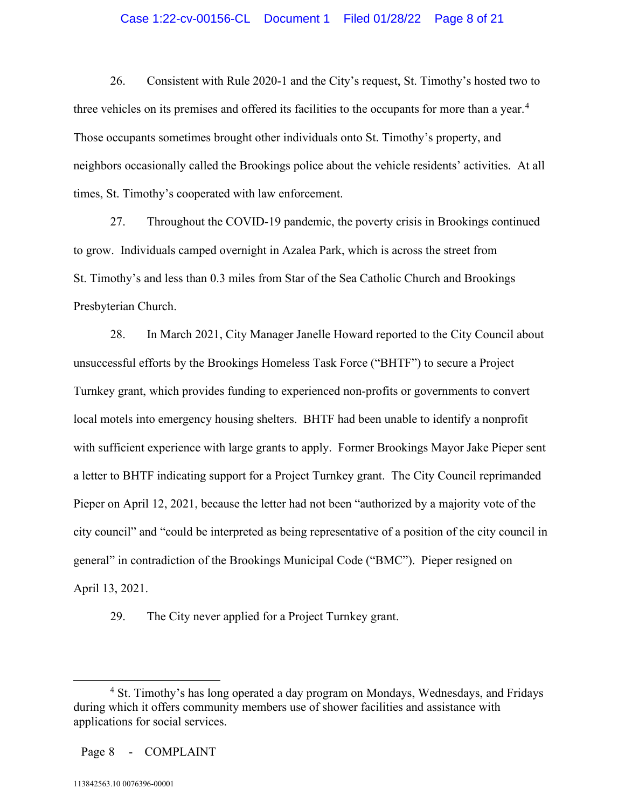# Case 1:22-cv-00156-CL Document 1 Filed 01/28/22 Page 8 of 21

26. Consistent with Rule 2020-1 and the City's request, St. Timothy's hosted two to three vehicles on its premises and offered its facilities to the occupants for more than a year.<sup>[4](#page-7-0)</sup> Those occupants sometimes brought other individuals onto St. Timothy's property, and neighbors occasionally called the Brookings police about the vehicle residents' activities. At all times, St. Timothy's cooperated with law enforcement.

27. Throughout the COVID-19 pandemic, the poverty crisis in Brookings continued to grow. Individuals camped overnight in Azalea Park, which is across the street from St. Timothy's and less than 0.3 miles from Star of the Sea Catholic Church and Brookings Presbyterian Church.

28. In March 2021, City Manager Janelle Howard reported to the City Council about unsuccessful efforts by the Brookings Homeless Task Force ("BHTF") to secure a Project Turnkey grant, which provides funding to experienced non-profits or governments to convert local motels into emergency housing shelters. BHTF had been unable to identify a nonprofit with sufficient experience with large grants to apply. Former Brookings Mayor Jake Pieper sent a letter to BHTF indicating support for a Project Turnkey grant. The City Council reprimanded Pieper on April 12, 2021, because the letter had not been "authorized by a majority vote of the city council" and "could be interpreted as being representative of a position of the city council in general" in contradiction of the Brookings Municipal Code ("BMC"). Pieper resigned on April 13, 2021.

29. The City never applied for a Project Turnkey grant.

<span id="page-7-0"></span><sup>&</sup>lt;sup>4</sup> St. Timothy's has long operated a day program on Mondays, Wednesdays, and Fridays during which it offers community members use of shower facilities and assistance with applications for social services.

Page 8 - COMPLAINT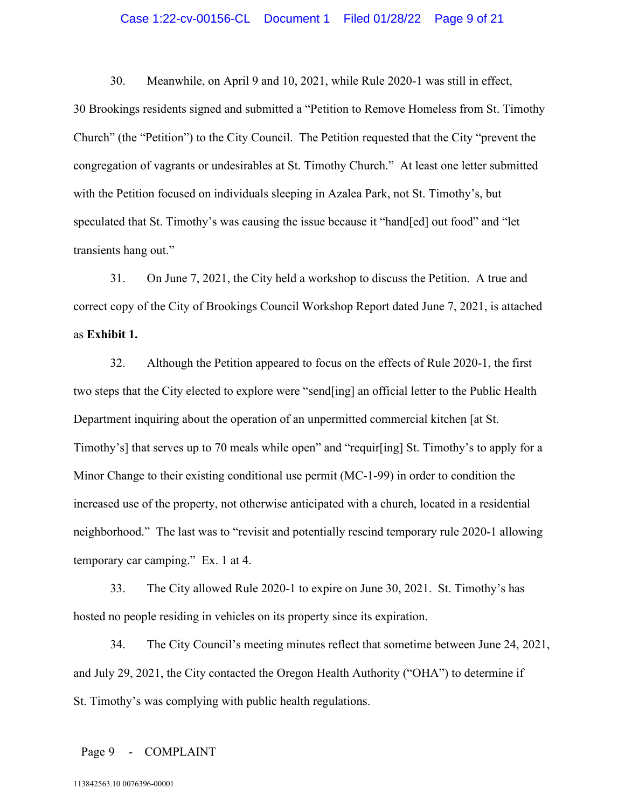#### Case 1:22-cv-00156-CL Document 1 Filed 01/28/22 Page 9 of 21

30. Meanwhile, on April 9 and 10, 2021, while Rule 2020-1 was still in effect, 30 Brookings residents signed and submitted a "Petition to Remove Homeless from St. Timothy Church" (the "Petition") to the City Council. The Petition requested that the City "prevent the congregation of vagrants or undesirables at St. Timothy Church." At least one letter submitted with the Petition focused on individuals sleeping in Azalea Park, not St. Timothy's, but speculated that St. Timothy's was causing the issue because it "hand[ed] out food" and "let transients hang out."

31. On June 7, 2021, the City held a workshop to discuss the Petition. A true and correct copy of the City of Brookings Council Workshop Report dated June 7, 2021, is attached as **Exhibit 1.**

32. Although the Petition appeared to focus on the effects of Rule 2020-1, the first two steps that the City elected to explore were "send[ing] an official letter to the Public Health Department inquiring about the operation of an unpermitted commercial kitchen [at St. Timothy's] that serves up to 70 meals while open" and "requir[ing] St. Timothy's to apply for a Minor Change to their existing conditional use permit (MC-1-99) in order to condition the increased use of the property, not otherwise anticipated with a church, located in a residential neighborhood." The last was to "revisit and potentially rescind temporary rule 2020-1 allowing temporary car camping." Ex. 1 at 4.

33. The City allowed Rule 2020-1 to expire on June 30, 2021. St. Timothy's has hosted no people residing in vehicles on its property since its expiration.

34. The City Council's meeting minutes reflect that sometime between June 24, 2021, and July 29, 2021, the City contacted the Oregon Health Authority ("OHA") to determine if St. Timothy's was complying with public health regulations.

Page 9 - COMPLAINT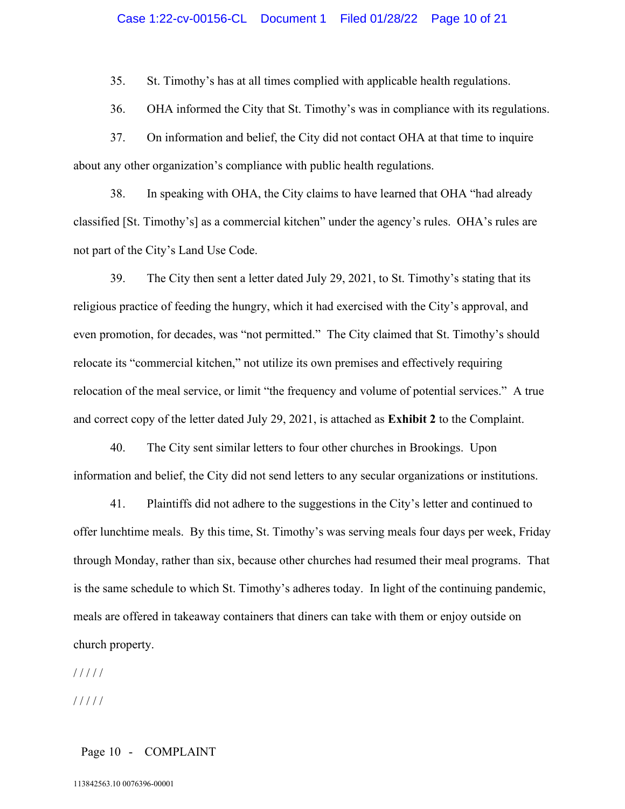35. St. Timothy's has at all times complied with applicable health regulations.

36. OHA informed the City that St. Timothy's was in compliance with its regulations.

37. On information and belief, the City did not contact OHA at that time to inquire about any other organization's compliance with public health regulations.

38. In speaking with OHA, the City claims to have learned that OHA "had already classified [St. Timothy's] as a commercial kitchen" under the agency's rules. OHA's rules are not part of the City's Land Use Code.

39. The City then sent a letter dated July 29, 2021, to St. Timothy's stating that its religious practice of feeding the hungry, which it had exercised with the City's approval, and even promotion, for decades, was "not permitted." The City claimed that St. Timothy's should relocate its "commercial kitchen," not utilize its own premises and effectively requiring relocation of the meal service, or limit "the frequency and volume of potential services." A true and correct copy of the letter dated July 29, 2021, is attached as **Exhibit 2** to the Complaint.

40. The City sent similar letters to four other churches in Brookings. Upon information and belief, the City did not send letters to any secular organizations or institutions.

41. Plaintiffs did not adhere to the suggestions in the City's letter and continued to offer lunchtime meals. By this time, St. Timothy's was serving meals four days per week, Friday through Monday, rather than six, because other churches had resumed their meal programs. That is the same schedule to which St. Timothy's adheres today. In light of the continuing pandemic, meals are offered in takeaway containers that diners can take with them or enjoy outside on church property.

/ / / / /

/ / / / /

### Page 10 - COMPLAINT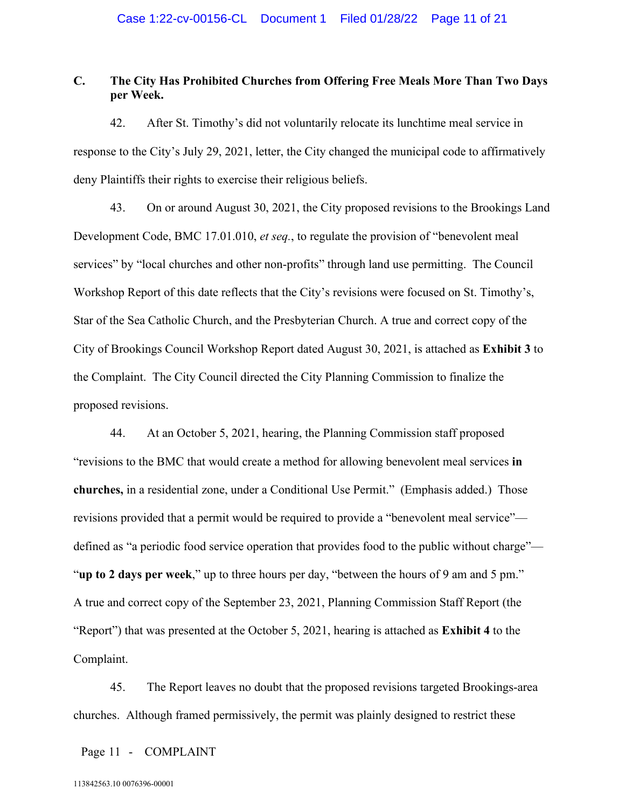# **C. The City Has Prohibited Churches from Offering Free Meals More Than Two Days per Week.**

42. After St. Timothy's did not voluntarily relocate its lunchtime meal service in response to the City's July 29, 2021, letter, the City changed the municipal code to affirmatively deny Plaintiffs their rights to exercise their religious beliefs.

43. On or around August 30, 2021, the City proposed revisions to the Brookings Land Development Code, BMC 17.01.010, *et seq.*, to regulate the provision of "benevolent meal services" by "local churches and other non-profits" through land use permitting. The Council Workshop Report of this date reflects that the City's revisions were focused on St. Timothy's, Star of the Sea Catholic Church, and the Presbyterian Church. A true and correct copy of the City of Brookings Council Workshop Report dated August 30, 2021, is attached as **Exhibit 3** to the Complaint. The City Council directed the City Planning Commission to finalize the proposed revisions.

44. At an October 5, 2021, hearing, the Planning Commission staff proposed "revisions to the BMC that would create a method for allowing benevolent meal services **in churches,** in a residential zone, under a Conditional Use Permit." (Emphasis added.) Those revisions provided that a permit would be required to provide a "benevolent meal service" defined as "a periodic food service operation that provides food to the public without charge"— "**up to 2 days per week**," up to three hours per day, "between the hours of 9 am and 5 pm." A true and correct copy of the September 23, 2021, Planning Commission Staff Report (the "Report") that was presented at the October 5, 2021, hearing is attached as **Exhibit 4** to the Complaint.

45. The Report leaves no doubt that the proposed revisions targeted Brookings-area churches. Although framed permissively, the permit was plainly designed to restrict these

Page 11 - COMPLAINT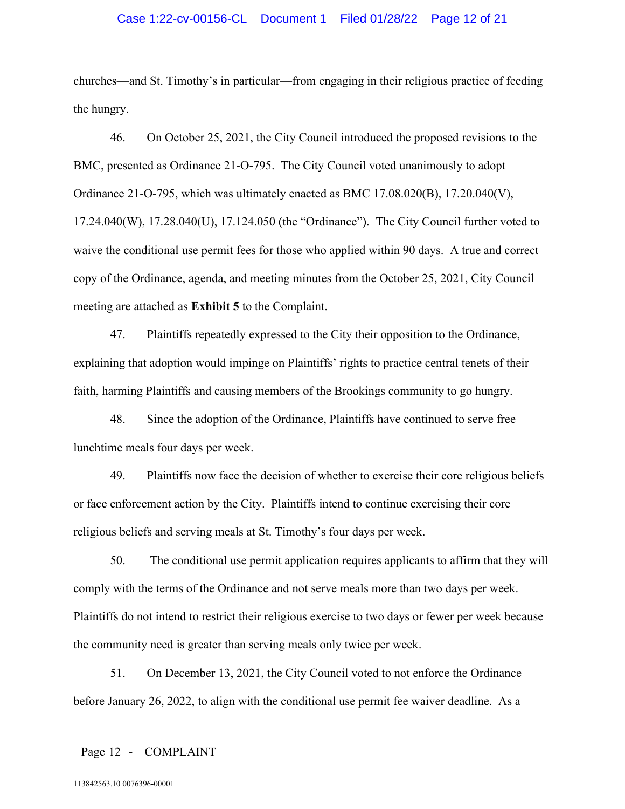### Case 1:22-cv-00156-CL Document 1 Filed 01/28/22 Page 12 of 21

churches—and St. Timothy's in particular—from engaging in their religious practice of feeding the hungry.

46. On October 25, 2021, the City Council introduced the proposed revisions to the BMC, presented as Ordinance 21-O-795. The City Council voted unanimously to adopt Ordinance 21-O-795, which was ultimately enacted as BMC 17.08.020(B), 17.20.040(V), 17.24.040(W), 17.28.040(U), 17.124.050 (the "Ordinance"). The City Council further voted to waive the conditional use permit fees for those who applied within 90 days. A true and correct copy of the Ordinance, agenda, and meeting minutes from the October 25, 2021, City Council meeting are attached as **Exhibit 5** to the Complaint.

47. Plaintiffs repeatedly expressed to the City their opposition to the Ordinance, explaining that adoption would impinge on Plaintiffs' rights to practice central tenets of their faith, harming Plaintiffs and causing members of the Brookings community to go hungry.

48. Since the adoption of the Ordinance, Plaintiffs have continued to serve free lunchtime meals four days per week.

49. Plaintiffs now face the decision of whether to exercise their core religious beliefs or face enforcement action by the City. Plaintiffs intend to continue exercising their core religious beliefs and serving meals at St. Timothy's four days per week.

50. The conditional use permit application requires applicants to affirm that they will comply with the terms of the Ordinance and not serve meals more than two days per week. Plaintiffs do not intend to restrict their religious exercise to two days or fewer per week because the community need is greater than serving meals only twice per week.

51. On December 13, 2021, the City Council voted to not enforce the Ordinance before January 26, 2022, to align with the conditional use permit fee waiver deadline. As a

#### Page 12 - COMPLAINT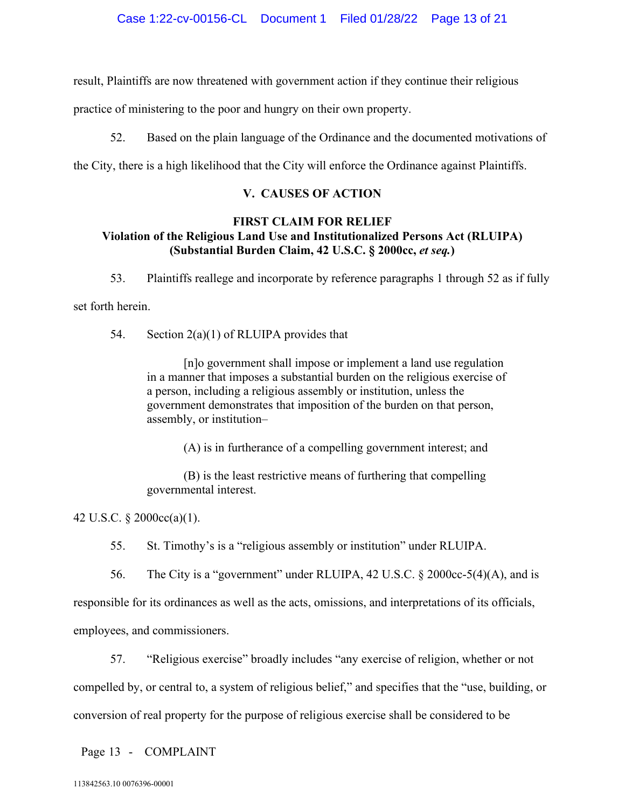result, Plaintiffs are now threatened with government action if they continue their religious

practice of ministering to the poor and hungry on their own property.

52. Based on the plain language of the Ordinance and the documented motivations of

the City, there is a high likelihood that the City will enforce the Ordinance against Plaintiffs.

# **V. CAUSES OF ACTION**

# **FIRST CLAIM FOR RELIEF Violation of the Religious Land Use and Institutionalized Persons Act (RLUIPA) (Substantial Burden Claim, 42 U.S.C. § 2000cc,** *et seq.***)**

53. Plaintiffs reallege and incorporate by reference paragraphs 1 through 52 as if fully

set forth herein.

54. Section  $2(a)(1)$  of RLUIPA provides that

[n]o government shall impose or implement a land use regulation in a manner that imposes a substantial burden on the religious exercise of a person, including a religious assembly or institution, unless the government demonstrates that imposition of the burden on that person, assembly, or institution–

(A) is in furtherance of a compelling government interest; and

(B) is the least restrictive means of furthering that compelling governmental interest.

42 U.S.C. § 2000cc(a)(1).

55. St. Timothy's is a "religious assembly or institution" under RLUIPA.

56. The City is a "government" under RLUIPA, 42 U.S.C. § 2000cc-5(4)(A), and is

responsible for its ordinances as well as the acts, omissions, and interpretations of its officials,

employees, and commissioners.

57. "Religious exercise" broadly includes "any exercise of religion, whether or not

compelled by, or central to, a system of religious belief," and specifies that the "use, building, or

conversion of real property for the purpose of religious exercise shall be considered to be

Page 13 - COMPLAINT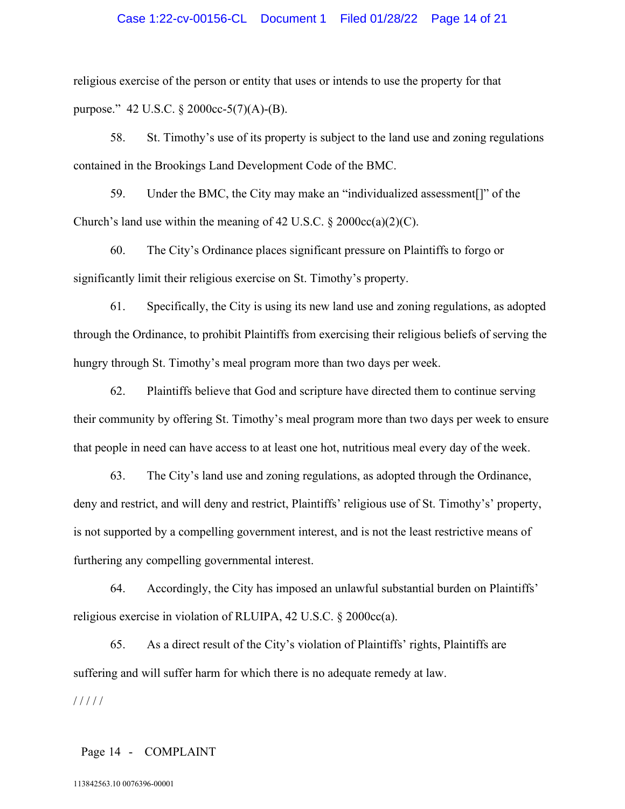### Case 1:22-cv-00156-CL Document 1 Filed 01/28/22 Page 14 of 21

religious exercise of the person or entity that uses or intends to use the property for that purpose." 42 U.S.C. § 2000cc-5(7)(A)-(B).

58. St. Timothy's use of its property is subject to the land use and zoning regulations contained in the Brookings Land Development Code of the BMC.

59. Under the BMC, the City may make an "individualized assessment[]" of the Church's land use within the meaning of 42 U.S.C.  $\S 2000cc(a)(2)(C)$ .

60. The City's Ordinance places significant pressure on Plaintiffs to forgo or significantly limit their religious exercise on St. Timothy's property.

61. Specifically, the City is using its new land use and zoning regulations, as adopted through the Ordinance, to prohibit Plaintiffs from exercising their religious beliefs of serving the hungry through St. Timothy's meal program more than two days per week.

62. Plaintiffs believe that God and scripture have directed them to continue serving their community by offering St. Timothy's meal program more than two days per week to ensure that people in need can have access to at least one hot, nutritious meal every day of the week.

63. The City's land use and zoning regulations, as adopted through the Ordinance, deny and restrict, and will deny and restrict, Plaintiffs' religious use of St. Timothy's' property, is not supported by a compelling government interest, and is not the least restrictive means of furthering any compelling governmental interest.

64. Accordingly, the City has imposed an unlawful substantial burden on Plaintiffs' religious exercise in violation of RLUIPA, 42 U.S.C. § 2000cc(a).

65. As a direct result of the City's violation of Plaintiffs' rights, Plaintiffs are suffering and will suffer harm for which there is no adequate remedy at law. / / / / /

### Page 14 - COMPLAINT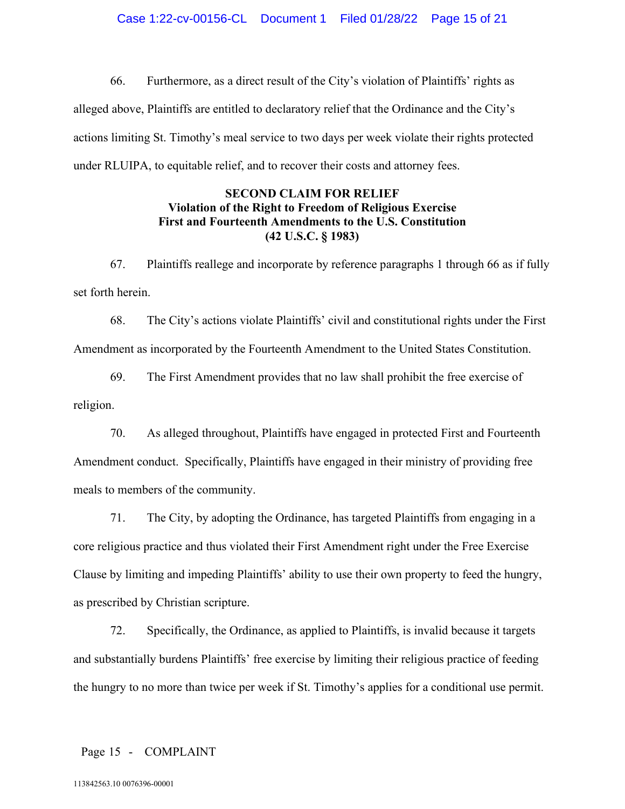66. Furthermore, as a direct result of the City's violation of Plaintiffs' rights as alleged above, Plaintiffs are entitled to declaratory relief that the Ordinance and the City's actions limiting St. Timothy's meal service to two days per week violate their rights protected under RLUIPA, to equitable relief, and to recover their costs and attorney fees.

# **SECOND CLAIM FOR RELIEF Violation of the Right to Freedom of Religious Exercise First and Fourteenth Amendments to the U.S. Constitution (42 U.S.C. § 1983)**

67. Plaintiffs reallege and incorporate by reference paragraphs 1 through 66 as if fully set forth herein.

68. The City's actions violate Plaintiffs' civil and constitutional rights under the First Amendment as incorporated by the Fourteenth Amendment to the United States Constitution.

69. The First Amendment provides that no law shall prohibit the free exercise of religion.

70. As alleged throughout, Plaintiffs have engaged in protected First and Fourteenth Amendment conduct. Specifically, Plaintiffs have engaged in their ministry of providing free meals to members of the community.

71. The City, by adopting the Ordinance, has targeted Plaintiffs from engaging in a core religious practice and thus violated their First Amendment right under the Free Exercise Clause by limiting and impeding Plaintiffs' ability to use their own property to feed the hungry, as prescribed by Christian scripture.

72. Specifically, the Ordinance, as applied to Plaintiffs, is invalid because it targets and substantially burdens Plaintiffs' free exercise by limiting their religious practice of feeding the hungry to no more than twice per week if St. Timothy's applies for a conditional use permit.

### Page 15 - COMPLAINT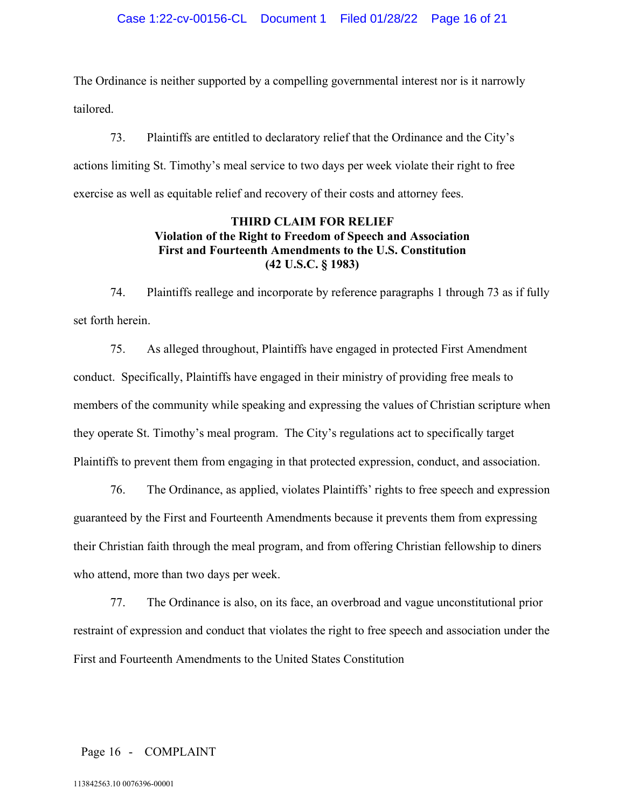The Ordinance is neither supported by a compelling governmental interest nor is it narrowly tailored.

73. Plaintiffs are entitled to declaratory relief that the Ordinance and the City's actions limiting St. Timothy's meal service to two days per week violate their right to free exercise as well as equitable relief and recovery of their costs and attorney fees.

# **THIRD CLAIM FOR RELIEF Violation of the Right to Freedom of Speech and Association First and Fourteenth Amendments to the U.S. Constitution (42 U.S.C. § 1983)**

74. Plaintiffs reallege and incorporate by reference paragraphs 1 through 73 as if fully set forth herein.

75. As alleged throughout, Plaintiffs have engaged in protected First Amendment conduct. Specifically, Plaintiffs have engaged in their ministry of providing free meals to members of the community while speaking and expressing the values of Christian scripture when they operate St. Timothy's meal program. The City's regulations act to specifically target Plaintiffs to prevent them from engaging in that protected expression, conduct, and association.

76. The Ordinance, as applied, violates Plaintiffs' rights to free speech and expression guaranteed by the First and Fourteenth Amendments because it prevents them from expressing their Christian faith through the meal program, and from offering Christian fellowship to diners who attend, more than two days per week.

77. The Ordinance is also, on its face, an overbroad and vague unconstitutional prior restraint of expression and conduct that violates the right to free speech and association under the First and Fourteenth Amendments to the United States Constitution

# Page 16 - COMPLAINT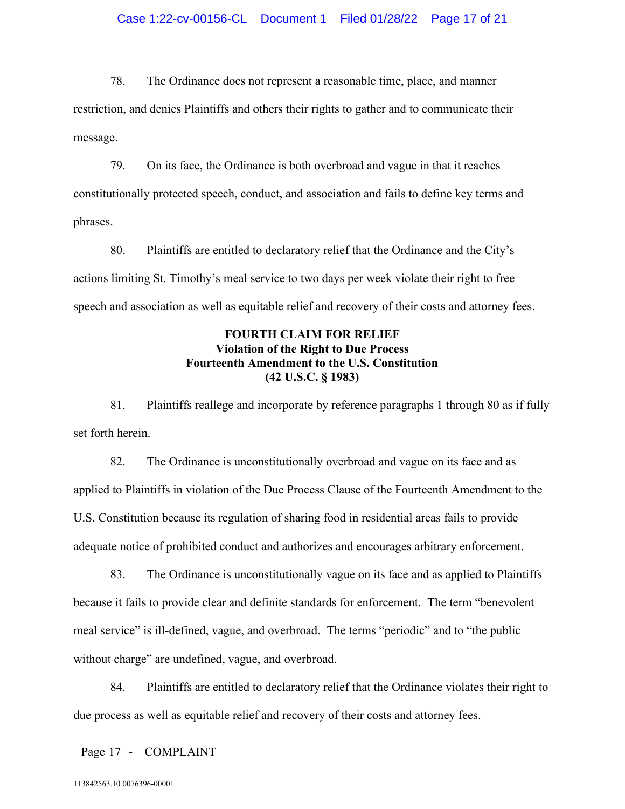78. The Ordinance does not represent a reasonable time, place, and manner restriction, and denies Plaintiffs and others their rights to gather and to communicate their message.

79. On its face, the Ordinance is both overbroad and vague in that it reaches constitutionally protected speech, conduct, and association and fails to define key terms and phrases.

80. Plaintiffs are entitled to declaratory relief that the Ordinance and the City's actions limiting St. Timothy's meal service to two days per week violate their right to free speech and association as well as equitable relief and recovery of their costs and attorney fees.

# **FOURTH CLAIM FOR RELIEF Violation of the Right to Due Process Fourteenth Amendment to the U.S. Constitution (42 U.S.C. § 1983)**

81. Plaintiffs reallege and incorporate by reference paragraphs 1 through 80 as if fully set forth herein.

82. The Ordinance is unconstitutionally overbroad and vague on its face and as applied to Plaintiffs in violation of the Due Process Clause of the Fourteenth Amendment to the U.S. Constitution because its regulation of sharing food in residential areas fails to provide adequate notice of prohibited conduct and authorizes and encourages arbitrary enforcement.

83. The Ordinance is unconstitutionally vague on its face and as applied to Plaintiffs because it fails to provide clear and definite standards for enforcement. The term "benevolent meal service" is ill-defined, vague, and overbroad. The terms "periodic" and to "the public without charge" are undefined, vague, and overbroad.

84. Plaintiffs are entitled to declaratory relief that the Ordinance violates their right to due process as well as equitable relief and recovery of their costs and attorney fees.

Page 17 - COMPLAINT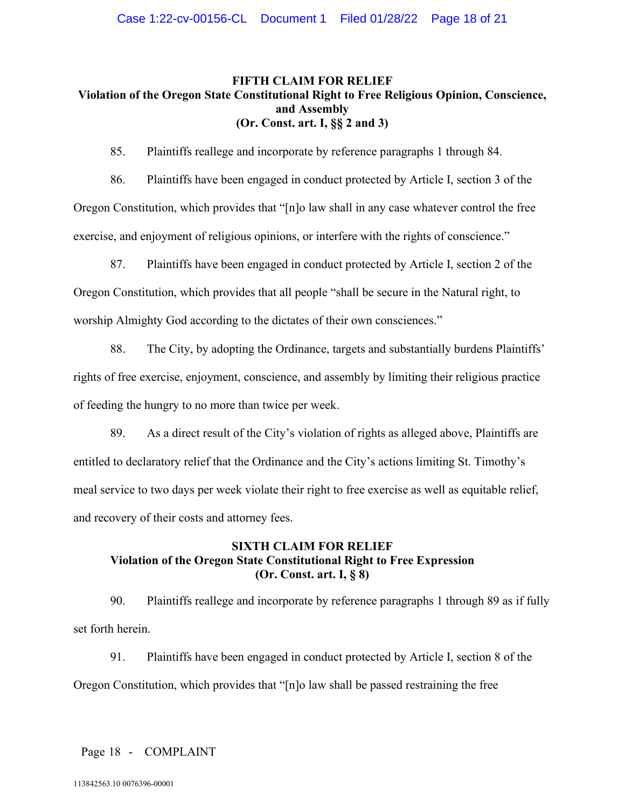# **FIFTH CLAIM FOR RELIEF Violation of the Oregon State Constitutional Right to Free Religious Opinion, Conscience, and Assembly (Or. Const. art. I, §§ 2 and 3)**

85. Plaintiffs reallege and incorporate by reference paragraphs 1 through 84.

86. Plaintiffs have been engaged in conduct protected by Article I, section 3 of the Oregon Constitution, which provides that "[n]o law shall in any case whatever control the free exercise, and enjoyment of religious opinions, or interfere with the rights of conscience."

87. Plaintiffs have been engaged in conduct protected by Article I, section 2 of the Oregon Constitution, which provides that all people "shall be secure in the Natural right, to worship Almighty God according to the dictates of their own consciences."

88. The City, by adopting the Ordinance, targets and substantially burdens Plaintiffs' rights of free exercise, enjoyment, conscience, and assembly by limiting their religious practice of feeding the hungry to no more than twice per week.

89. As a direct result of the City's violation of rights as alleged above, Plaintiffs are entitled to declaratory relief that the Ordinance and the City's actions limiting St. Timothy's meal service to two days per week violate their right to free exercise as well as equitable relief, and recovery of their costs and attorney fees.

# **SIXTH CLAIM FOR RELIEF Violation of the Oregon State Constitutional Right to Free Expression (Or. Const. art. I, § 8)**

90. Plaintiffs reallege and incorporate by reference paragraphs 1 through 89 as if fully set forth herein.

91. Plaintiffs have been engaged in conduct protected by Article I, section 8 of the Oregon Constitution, which provides that "[n]o law shall be passed restraining the free

Page 18 - COMPLAINT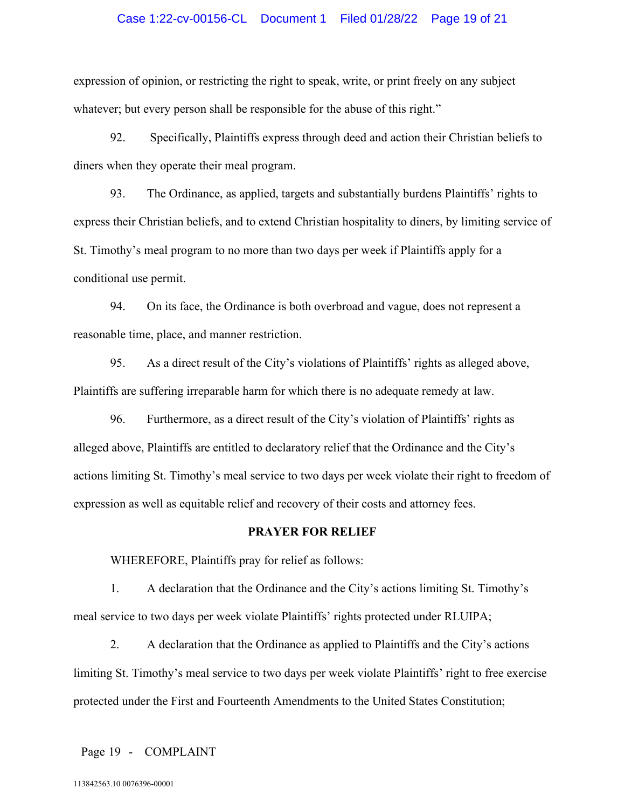### Case 1:22-cv-00156-CL Document 1 Filed 01/28/22 Page 19 of 21

expression of opinion, or restricting the right to speak, write, or print freely on any subject whatever; but every person shall be responsible for the abuse of this right."

92. Specifically, Plaintiffs express through deed and action their Christian beliefs to diners when they operate their meal program.

93. The Ordinance, as applied, targets and substantially burdens Plaintiffs' rights to express their Christian beliefs, and to extend Christian hospitality to diners, by limiting service of St. Timothy's meal program to no more than two days per week if Plaintiffs apply for a conditional use permit.

94. On its face, the Ordinance is both overbroad and vague, does not represent a reasonable time, place, and manner restriction.

95. As a direct result of the City's violations of Plaintiffs' rights as alleged above, Plaintiffs are suffering irreparable harm for which there is no adequate remedy at law.

96. Furthermore, as a direct result of the City's violation of Plaintiffs' rights as alleged above, Plaintiffs are entitled to declaratory relief that the Ordinance and the City's actions limiting St. Timothy's meal service to two days per week violate their right to freedom of expression as well as equitable relief and recovery of their costs and attorney fees.

#### **PRAYER FOR RELIEF**

WHEREFORE, Plaintiffs pray for relief as follows:

1. A declaration that the Ordinance and the City's actions limiting St. Timothy's meal service to two days per week violate Plaintiffs' rights protected under RLUIPA;

2. A declaration that the Ordinance as applied to Plaintiffs and the City's actions limiting St. Timothy's meal service to two days per week violate Plaintiffs' right to free exercise protected under the First and Fourteenth Amendments to the United States Constitution;

Page 19 - COMPLAINT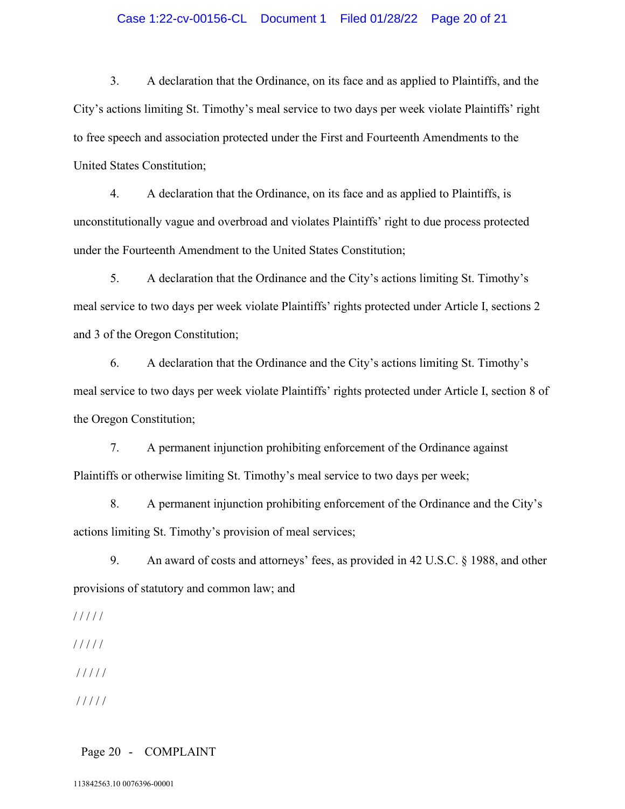### Case 1:22-cv-00156-CL Document 1 Filed 01/28/22 Page 20 of 21

3. A declaration that the Ordinance, on its face and as applied to Plaintiffs, and the City's actions limiting St. Timothy's meal service to two days per week violate Plaintiffs' right to free speech and association protected under the First and Fourteenth Amendments to the United States Constitution;

4. A declaration that the Ordinance, on its face and as applied to Plaintiffs, is unconstitutionally vague and overbroad and violates Plaintiffs' right to due process protected under the Fourteenth Amendment to the United States Constitution;

5. A declaration that the Ordinance and the City's actions limiting St. Timothy's meal service to two days per week violate Plaintiffs' rights protected under Article I, sections 2 and 3 of the Oregon Constitution;

6. A declaration that the Ordinance and the City's actions limiting St. Timothy's meal service to two days per week violate Plaintiffs' rights protected under Article I, section 8 of the Oregon Constitution;

7. A permanent injunction prohibiting enforcement of the Ordinance against Plaintiffs or otherwise limiting St. Timothy's meal service to two days per week;

8. A permanent injunction prohibiting enforcement of the Ordinance and the City's actions limiting St. Timothy's provision of meal services;

9. An award of costs and attorneys' fees, as provided in 42 U.S.C. § 1988, and other provisions of statutory and common law; and

/ / / / /

/ / / / /

/ / / / /

/ / / / /

### Page 20 - COMPLAINT